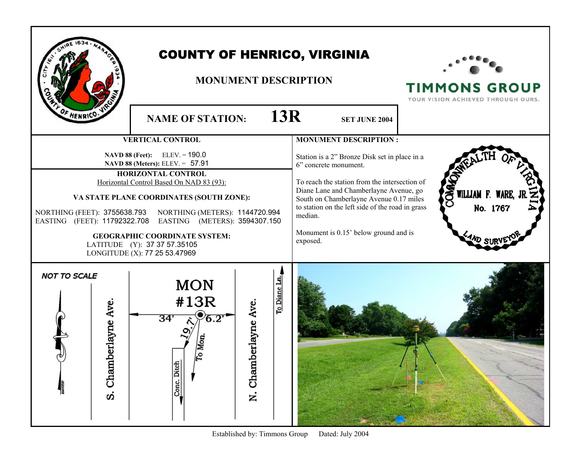| F HENRICO.                                                                                                                                                                                                                                                                                                                                                                                                                                                   | <b>COUNTY OF HENRICO, VIRGINIA</b><br><b>MONUMENT DESCRIPTION</b><br>13R<br><b>NAME OF STATION:</b><br><b>SET JUNE 2004</b> |                                                                                                                                                                                                                                                                                                                                                                  | <b>TIMMONS GROUP</b><br>YOUR VISION ACHIEVED THROUGH OURS. |
|--------------------------------------------------------------------------------------------------------------------------------------------------------------------------------------------------------------------------------------------------------------------------------------------------------------------------------------------------------------------------------------------------------------------------------------------------------------|-----------------------------------------------------------------------------------------------------------------------------|------------------------------------------------------------------------------------------------------------------------------------------------------------------------------------------------------------------------------------------------------------------------------------------------------------------------------------------------------------------|------------------------------------------------------------|
| <b>VERTICAL CONTROL</b><br><b>NAVD 88 (Feet):</b> ELEV. = 190.0<br>NAVD 88 (Meters): ELEV. = 57.91<br>HORIZONTAL CONTROL<br>Horizontal Control Based On NAD 83 (93):<br>VA STATE PLANE COORDINATES (SOUTH ZONE):<br>NORTHING (METERS): 1144720.994<br>NORTHING (FEET): 3755638.793<br>EASTING (FEET): 11792322.708<br>EASTING (METERS): 3594307.150<br><b>GEOGRAPHIC COORDINATE SYSTEM:</b><br>LATITUDE (Y): 37 37 57.35105<br>LONGITUDE (X): 77 25 53.47969 |                                                                                                                             | <b>MONUMENT DESCRIPTION:</b><br>Station is a 2" Bronze Disk set in place in a<br>6" concrete monument.<br>To reach the station from the intersection of<br>Diane Lane and Chamberlayne Avenue, go<br>South on Chamberlayne Avenue 0.17 miles<br>to station on the left side of the road in grass<br>median.<br>Monument is 0.15' below ground and is<br>exposed. | <b>CARK</b><br>WILLIAM F. WARE, J<br>No. 1767<br>$4M$ surv |
| <b>NOT TO SCALE</b><br>Ave.<br>erlayne<br>Chamt<br>တဲ                                                                                                                                                                                                                                                                                                                                                                                                        | To Diane Ln<br><b>MON</b><br>#13R<br>erlayne Ave.<br>$26.2^{\circ}$<br>34'<br>o Mon<br>Chamb<br>Conc. Ditch<br>ż.           |                                                                                                                                                                                                                                                                                                                                                                  |                                                            |